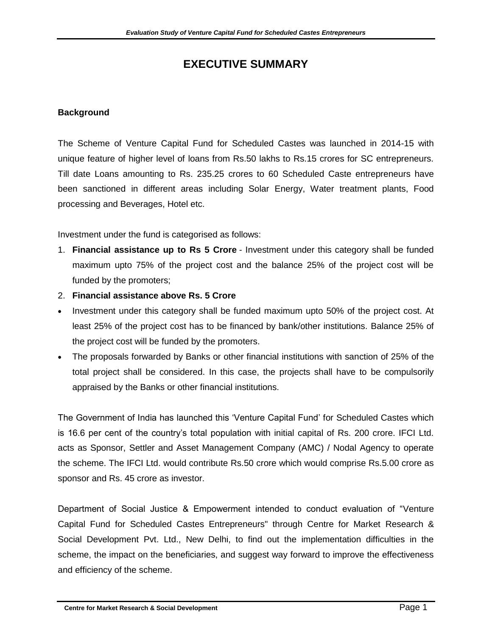# **EXECUTIVE SUMMARY**

#### **Background**

The Scheme of Venture Capital Fund for Scheduled Castes was launched in 2014-15 with unique feature of higher level of loans from Rs.50 lakhs to Rs.15 crores for SC entrepreneurs. Till date Loans amounting to Rs. 235.25 crores to 60 Scheduled Caste entrepreneurs have been sanctioned in different areas including Solar Energy, Water treatment plants, Food processing and Beverages, Hotel etc.

Investment under the fund is categorised as follows:

- 1. **Financial assistance up to Rs 5 Crore** Investment under this category shall be funded maximum upto 75% of the project cost and the balance 25% of the project cost will be funded by the promoters;
- 2. **Financial assistance above Rs. 5 Crore**
- Investment under this category shall be funded maximum upto 50% of the project cost. At least 25% of the project cost has to be financed by bank/other institutions. Balance 25% of the project cost will be funded by the promoters.
- The proposals forwarded by Banks or other financial institutions with sanction of 25% of the total project shall be considered. In this case, the projects shall have to be compulsorily appraised by the Banks or other financial institutions.

The Government of India has launched this 'Venture Capital Fund' for Scheduled Castes which is 16.6 per cent of the country's total population with initial capital of Rs. 200 crore. IFCI Ltd. acts as Sponsor, Settler and Asset Management Company (AMC) / Nodal Agency to operate the scheme. The IFCI Ltd. would contribute Rs.50 crore which would comprise Rs.5.00 crore as sponsor and Rs. 45 crore as investor.

Department of Social Justice & Empowerment intended to conduct evaluation of "Venture Capital Fund for Scheduled Castes Entrepreneurs" through Centre for Market Research & Social Development Pvt. Ltd., New Delhi, to find out the implementation difficulties in the scheme, the impact on the beneficiaries, and suggest way forward to improve the effectiveness and efficiency of the scheme.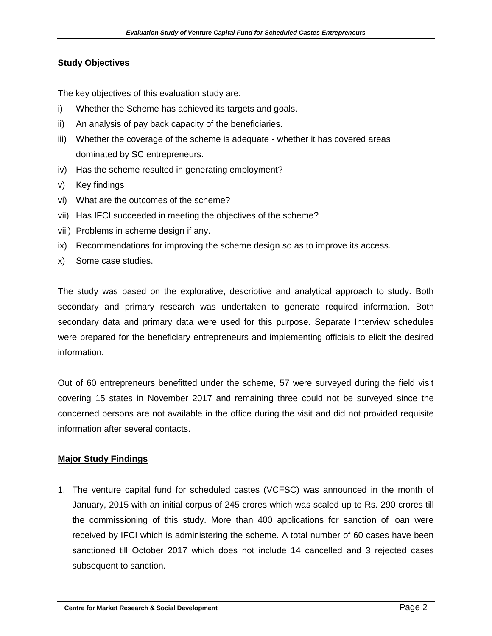### **Study Objectives**

The key objectives of this evaluation study are:

- i) Whether the Scheme has achieved its targets and goals.
- ii) An analysis of pay back capacity of the beneficiaries.
- iii) Whether the coverage of the scheme is adequate whether it has covered areas dominated by SC entrepreneurs.
- iv) Has the scheme resulted in generating employment?
- v) Key findings
- vi) What are the outcomes of the scheme?
- vii) Has IFCI succeeded in meeting the objectives of the scheme?
- viii) Problems in scheme design if any.
- ix) Recommendations for improving the scheme design so as to improve its access.
- x) Some case studies.

The study was based on the explorative, descriptive and analytical approach to study. Both secondary and primary research was undertaken to generate required information. Both secondary data and primary data were used for this purpose. Separate Interview schedules were prepared for the beneficiary entrepreneurs and implementing officials to elicit the desired information.

Out of 60 entrepreneurs benefitted under the scheme, 57 were surveyed during the field visit covering 15 states in November 2017 and remaining three could not be surveyed since the concerned persons are not available in the office during the visit and did not provided requisite information after several contacts.

#### **Major Study Findings**

1. The venture capital fund for scheduled castes (VCFSC) was announced in the month of January, 2015 with an initial corpus of 245 crores which was scaled up to Rs. 290 crores till the commissioning of this study. More than 400 applications for sanction of loan were received by IFCI which is administering the scheme. A total number of 60 cases have been sanctioned till October 2017 which does not include 14 cancelled and 3 rejected cases subsequent to sanction.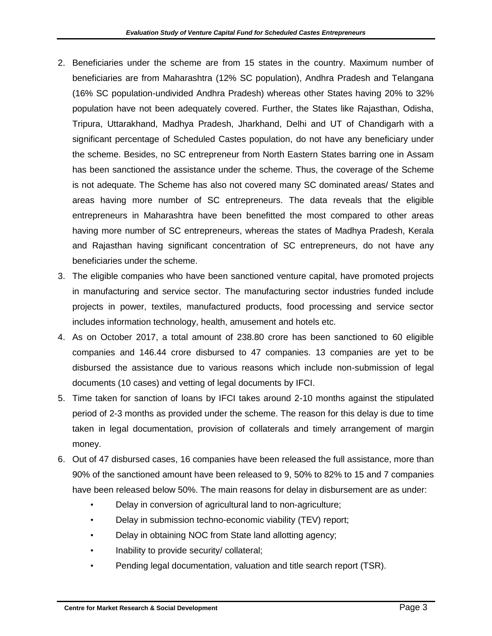- 2. Beneficiaries under the scheme are from 15 states in the country. Maximum number of beneficiaries are from Maharashtra (12% SC population), Andhra Pradesh and Telangana (16% SC population-undivided Andhra Pradesh) whereas other States having 20% to 32% population have not been adequately covered. Further, the States like Rajasthan, Odisha, Tripura, Uttarakhand, Madhya Pradesh, Jharkhand, Delhi and UT of Chandigarh with a significant percentage of Scheduled Castes population, do not have any beneficiary under the scheme. Besides, no SC entrepreneur from North Eastern States barring one in Assam has been sanctioned the assistance under the scheme. Thus, the coverage of the Scheme is not adequate. The Scheme has also not covered many SC dominated areas/ States and areas having more number of SC entrepreneurs. The data reveals that the eligible entrepreneurs in Maharashtra have been benefitted the most compared to other areas having more number of SC entrepreneurs, whereas the states of Madhya Pradesh, Kerala and Rajasthan having significant concentration of SC entrepreneurs, do not have any beneficiaries under the scheme.
- 3. The eligible companies who have been sanctioned venture capital, have promoted projects in manufacturing and service sector. The manufacturing sector industries funded include projects in power, textiles, manufactured products, food processing and service sector includes information technology, health, amusement and hotels etc.
- 4. As on October 2017, a total amount of 238.80 crore has been sanctioned to 60 eligible companies and 146.44 crore disbursed to 47 companies. 13 companies are yet to be disbursed the assistance due to various reasons which include non-submission of legal documents (10 cases) and vetting of legal documents by IFCI.
- 5. Time taken for sanction of loans by IFCI takes around 2-10 months against the stipulated period of 2-3 months as provided under the scheme. The reason for this delay is due to time taken in legal documentation, provision of collaterals and timely arrangement of margin money.
- 6. Out of 47 disbursed cases, 16 companies have been released the full assistance, more than 90% of the sanctioned amount have been released to 9, 50% to 82% to 15 and 7 companies have been released below 50%. The main reasons for delay in disbursement are as under:
	- Delay in conversion of agricultural land to non-agriculture;
	- Delay in submission techno-economic viability (TEV) report;
	- Delay in obtaining NOC from State land allotting agency;
	- Inability to provide security/ collateral;
	- Pending legal documentation, valuation and title search report (TSR).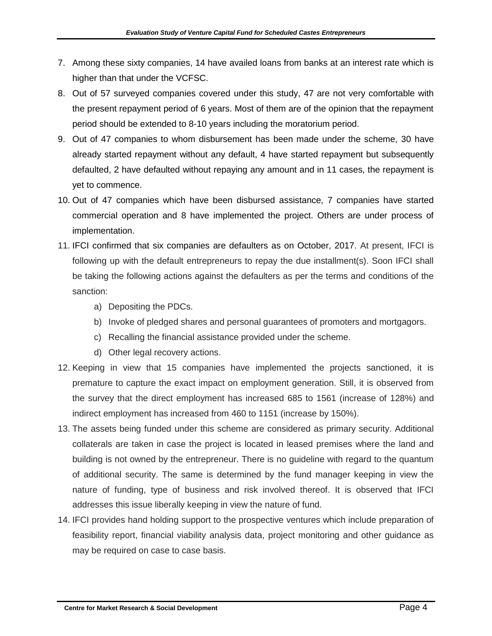- 7. Among these sixty companies, 14 have availed loans from banks at an interest rate which is higher than that under the VCFSC.
- 8. Out of 57 surveyed companies covered under this study, 47 are not very comfortable with the present repayment period of 6 years. Most of them are of the opinion that the repayment period should be extended to 8-10 years including the moratorium period.
- 9. Out of 47 companies to whom disbursement has been made under the scheme, 30 have already started repayment without any default, 4 have started repayment but subsequently defaulted, 2 have defaulted without repaying any amount and in 11 cases, the repayment is yet to commence.
- 10. Out of 47 companies which have been disbursed assistance, 7 companies have started commercial operation and 8 have implemented the project. Others are under process of implementation.
- 11. IFCI confirmed that six companies are defaulters as on October, 2017. At present, IFCI is following up with the default entrepreneurs to repay the due installment(s). Soon IFCI shall be taking the following actions against the defaulters as per the terms and conditions of the sanction:
	- a) Depositing the PDCs.
	- b) Invoke of pledged shares and personal guarantees of promoters and mortgagors.
	- c) Recalling the financial assistance provided under the scheme.
	- d) Other legal recovery actions.
- 12. Keeping in view that 15 companies have implemented the projects sanctioned, it is premature to capture the exact impact on employment generation. Still, it is observed from the survey that the direct employment has increased 685 to 1561 (increase of 128%) and indirect employment has increased from 460 to 1151 (increase by 150%).
- 13. The assets being funded under this scheme are considered as primary security. Additional collaterals are taken in case the project is located in leased premises where the land and building is not owned by the entrepreneur. There is no guideline with regard to the quantum of additional security. The same is determined by the fund manager keeping in view the nature of funding, type of business and risk involved thereof. It is observed that IFCI addresses this issue liberally keeping in view the nature of fund.
- 14. IFCI provides hand holding support to the prospective ventures which include preparation of feasibility report, financial viability analysis data, project monitoring and other guidance as may be required on case to case basis.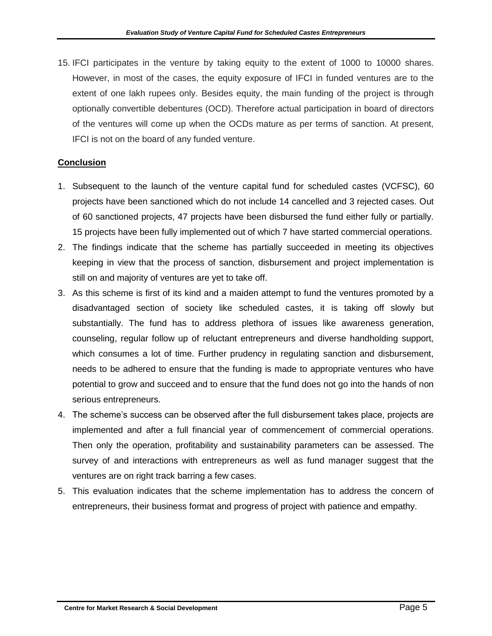15. IFCI participates in the venture by taking equity to the extent of 1000 to 10000 shares. However, in most of the cases, the equity exposure of IFCI in funded ventures are to the extent of one lakh rupees only. Besides equity, the main funding of the project is through optionally convertible debentures (OCD). Therefore actual participation in board of directors of the ventures will come up when the OCDs mature as per terms of sanction. At present, IFCI is not on the board of any funded venture.

## **Conclusion**

- 1. Subsequent to the launch of the venture capital fund for scheduled castes (VCFSC), 60 projects have been sanctioned which do not include 14 cancelled and 3 rejected cases. Out of 60 sanctioned projects, 47 projects have been disbursed the fund either fully or partially. 15 projects have been fully implemented out of which 7 have started commercial operations.
- 2. The findings indicate that the scheme has partially succeeded in meeting its objectives keeping in view that the process of sanction, disbursement and project implementation is still on and majority of ventures are yet to take off.
- 3. As this scheme is first of its kind and a maiden attempt to fund the ventures promoted by a disadvantaged section of society like scheduled castes, it is taking off slowly but substantially. The fund has to address plethora of issues like awareness generation, counseling, regular follow up of reluctant entrepreneurs and diverse handholding support, which consumes a lot of time. Further prudency in regulating sanction and disbursement, needs to be adhered to ensure that the funding is made to appropriate ventures who have potential to grow and succeed and to ensure that the fund does not go into the hands of non serious entrepreneurs.
- 4. The scheme's success can be observed after the full disbursement takes place, projects are implemented and after a full financial year of commencement of commercial operations. Then only the operation, profitability and sustainability parameters can be assessed. The survey of and interactions with entrepreneurs as well as fund manager suggest that the ventures are on right track barring a few cases.
- 5. This evaluation indicates that the scheme implementation has to address the concern of entrepreneurs, their business format and progress of project with patience and empathy.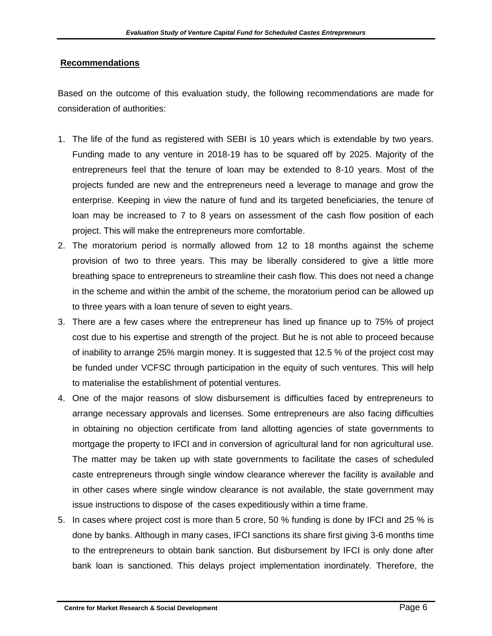#### **Recommendations**

Based on the outcome of this evaluation study, the following recommendations are made for consideration of authorities:

- 1. The life of the fund as registered with SEBI is 10 years which is extendable by two years. Funding made to any venture in 2018-19 has to be squared off by 2025. Majority of the entrepreneurs feel that the tenure of loan may be extended to 8-10 years. Most of the projects funded are new and the entrepreneurs need a leverage to manage and grow the enterprise. Keeping in view the nature of fund and its targeted beneficiaries, the tenure of loan may be increased to 7 to 8 years on assessment of the cash flow position of each project. This will make the entrepreneurs more comfortable.
- 2. The moratorium period is normally allowed from 12 to 18 months against the scheme provision of two to three years. This may be liberally considered to give a little more breathing space to entrepreneurs to streamline their cash flow. This does not need a change in the scheme and within the ambit of the scheme, the moratorium period can be allowed up to three years with a loan tenure of seven to eight years.
- 3. There are a few cases where the entrepreneur has lined up finance up to 75% of project cost due to his expertise and strength of the project. But he is not able to proceed because of inability to arrange 25% margin money. It is suggested that 12.5 % of the project cost may be funded under VCFSC through participation in the equity of such ventures. This will help to materialise the establishment of potential ventures.
- 4. One of the major reasons of slow disbursement is difficulties faced by entrepreneurs to arrange necessary approvals and licenses. Some entrepreneurs are also facing difficulties in obtaining no objection certificate from land allotting agencies of state governments to mortgage the property to IFCI and in conversion of agricultural land for non agricultural use. The matter may be taken up with state governments to facilitate the cases of scheduled caste entrepreneurs through single window clearance wherever the facility is available and in other cases where single window clearance is not available, the state government may issue instructions to dispose of the cases expeditiously within a time frame.
- 5. In cases where project cost is more than 5 crore, 50 % funding is done by IFCI and 25 % is done by banks. Although in many cases, IFCI sanctions its share first giving 3-6 months time to the entrepreneurs to obtain bank sanction. But disbursement by IFCI is only done after bank loan is sanctioned. This delays project implementation inordinately. Therefore, the